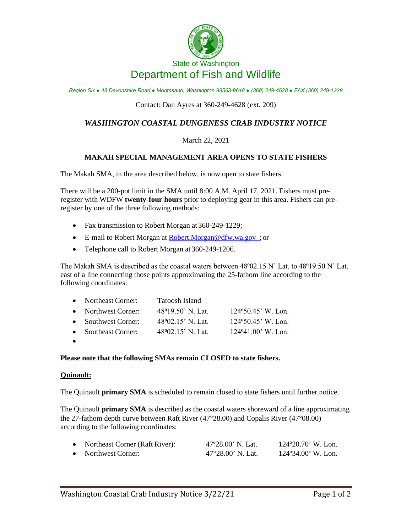

# State of Washington Department of Fish and Wildlife

*Region Six ● 48 Devonshire Road ● Montesano, Washington 98563-9618 ● (360) 249-4628 ● FAX (360) 249-1229*

### Contact: Dan Ayres at 360-249-4628 (ext. 209)

# *WASHINGTON COASTAL DUNGENESS CRAB INDUSTRY NOTICE*

## March 22, 2021

### **MAKAH SPECIAL MANAGEMENT AREA OPENS TO STATE FISHERS**

The Makah SMA, in the area described below, is now open to state fishers.

There will be a 200-pot limit in the SMA until 8:00 A.M. April 17, 2021. Fishers must preregister with WDFW **twenty-four hours** prior to deploying gear in this area. Fishers can preregister by one of the three following methods:

- Fax transmission to Robert Morgan at 360-249-1229;
- E-mail to Robert Morgan at [Robert.Morgan@dfw.wa.gov ;](mailto:Robert.Morgan@dfw.wa.gov) or
- Telephone call to Robert Morgan at 360-249-1206.

The Makah SMA is described as the coastal waters between 48°02.15 N' Lat. to 48°19.50 N' Lat. east of a line connecting those points approximating the 25-fathom line according to the following coordinates:

| • Northeast Corner: | Tatoosh Island              |                              |
|---------------------|-----------------------------|------------------------------|
| • Northwest Corner: | $48^{\circ}19.50$ ' N. Lat. | $124\,950.45$ , W. Lon.      |
| • Southwest Corner: | $48\,02.15$ ' N. Lat.       | $124\degree 50.45$ , W. Lon. |
| • Southeast Corner: | $48\,02.15$ , N. Lat.       | $124\degree 41.00$ , W. Lon. |

•

#### **Please note that the following SMAs remain CLOSED to state fishers.**

#### **Quinault:**

The Quinault **primary SMA** is scheduled to remain closed to state fishers until further notice.

The Quinault **primary SMA** is described as the coastal waters shoreward of a line approximating the 27-fathom depth curve between Raft River (47°28.00) and Copalis River (47°08.00) according to the following coordinates:

| • Northeast Corner (Raft River): | 47°28.00' N. Lat. | $124^{\circ}20.70$ ' W. Lon. |
|----------------------------------|-------------------|------------------------------|
| • Northwest Corner:              | 47°28.00' N. Lat. | $124^{\circ}34.00$ ' W. Lon. |